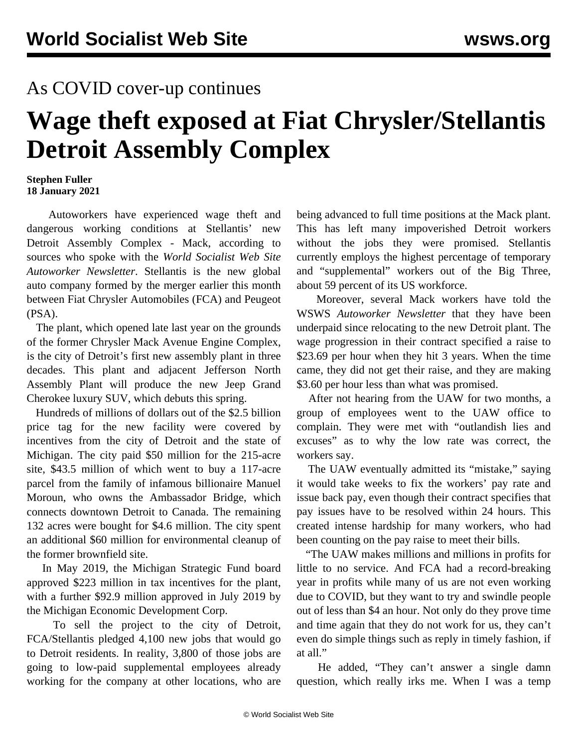## As COVID cover-up continues

## **Wage theft exposed at Fiat Chrysler/Stellantis Detroit Assembly Complex**

## **Stephen Fuller 18 January 2021**

 Autoworkers have experienced wage theft and dangerous working conditions at Stellantis' new Detroit Assembly Complex - Mack, according to sources who spoke with the *World Socialist Web Site Autoworker Newsletter*. Stellantis is the new global auto company formed by the merger earlier this month between Fiat Chrysler Automobiles (FCA) and Peugeot (PSA).

 The plant, which opened late last year on the grounds of the former Chrysler Mack Avenue Engine Complex, is the city of Detroit's first new assembly plant in three decades. This plant and adjacent Jefferson North Assembly Plant will produce the new Jeep Grand Cherokee luxury SUV, which debuts this spring.

 Hundreds of millions of dollars out of the \$2.5 billion price tag for the new facility were covered by incentives from the city of Detroit and the state of Michigan. The city paid \$50 million for the 215-acre site, \$43.5 million of which went to buy a 117-acre parcel from the family of infamous billionaire Manuel Moroun, who owns the Ambassador Bridge, which connects downtown Detroit to Canada. The remaining 132 acres were bought for \$4.6 million. The city spent an additional \$60 million for environmental cleanup of the former brownfield site.

 In May 2019, the Michigan Strategic Fund board approved \$223 million in tax incentives for the plant, with a further \$92.9 million approved in July 2019 by the Michigan Economic Development Corp.

 To sell the project to the city of Detroit, FCA/Stellantis pledged 4,100 new jobs that would go to Detroit residents. In reality, 3,800 of those jobs are going to low-paid supplemental employees already working for the company at other locations, who are being advanced to full time positions at the Mack plant. This has left many impoverished Detroit workers without the jobs they were promised. Stellantis currently employs the highest percentage of temporary and "supplemental" workers out of the Big Three, about 59 percent of its US workforce.

 Moreover, several Mack workers have told the WSWS *Autoworker Newsletter* that they have been underpaid since relocating to the new Detroit plant. The wage progression in their contract specified a raise to \$23.69 per hour when they hit 3 years. When the time came, they did not get their raise, and they are making \$3.60 per hour less than what was promised.

 After not hearing from the UAW for two months, a group of employees went to the UAW office to complain. They were met with "outlandish lies and excuses" as to why the low rate was correct, the workers say.

 The UAW eventually admitted its "mistake," saying it would take weeks to fix the workers' pay rate and issue back pay, even though their contract specifies that pay issues have to be resolved within 24 hours. This created intense hardship for many workers, who had been counting on the pay raise to meet their bills.

 "The UAW makes millions and millions in profits for little to no service. And FCA had a record-breaking year in profits while many of us are not even working due to COVID, but they want to try and swindle people out of less than \$4 an hour. Not only do they prove time and time again that they do not work for us, they can't even do simple things such as reply in timely fashion, if at all."

 He added, "They can't answer a single damn question, which really irks me. When I was a temp